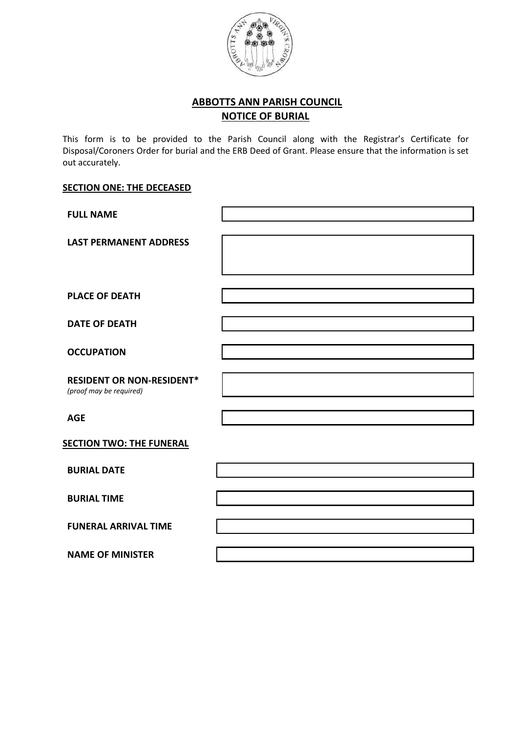

## **ABBOTTS ANN PARISH COUNCIL NOTICE OF BURIAL**

This form is to be provided to the Parish Council along with the Registrar's Certificate for Disposal/Coroners Order for burial and the ERB Deed of Grant. Please ensure that the information is set out accurately.

## **SECTION ONE: THE DECEASED**

| <b>FULL NAME</b>                                            |  |
|-------------------------------------------------------------|--|
| <b>LAST PERMANENT ADDRESS</b>                               |  |
| <b>PLACE OF DEATH</b>                                       |  |
| <b>DATE OF DEATH</b>                                        |  |
| <b>OCCUPATION</b>                                           |  |
| <b>RESIDENT OR NON-RESIDENT*</b><br>(proof may be required) |  |
| <b>AGE</b>                                                  |  |
| <b>SECTION TWO: THE FUNERAL</b>                             |  |
| <b>BURIAL DATE</b>                                          |  |
| <b>BURIAL TIME</b>                                          |  |
| <b>FUNERAL ARRIVAL TIME</b>                                 |  |
| <b>NAME OF MINISTER</b>                                     |  |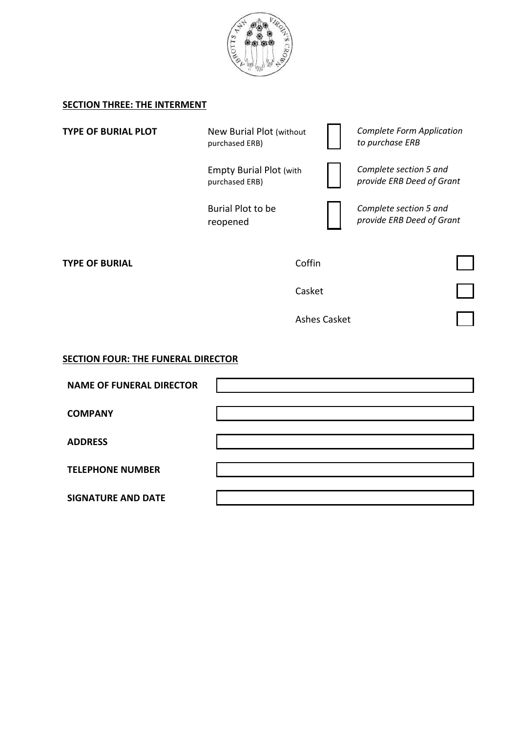

## **SECTION THREE: THE INTERMENT**

| <b>TYPE OF BURIAL PLOT</b>                | New Burial Plot (without<br>purchased ERB)       |                     | <b>Complete Form Application</b><br>to purchase ERB |  |
|-------------------------------------------|--------------------------------------------------|---------------------|-----------------------------------------------------|--|
|                                           | <b>Empty Burial Plot (with</b><br>purchased ERB) |                     | Complete section 5 and<br>provide ERB Deed of Grant |  |
|                                           | Burial Plot to be<br>reopened                    |                     | Complete section 5 and<br>provide ERB Deed of Grant |  |
| <b>TYPE OF BURIAL</b>                     |                                                  | Coffin              |                                                     |  |
|                                           |                                                  | Casket              |                                                     |  |
|                                           |                                                  | <b>Ashes Casket</b> |                                                     |  |
| <b>SECTION FOUR: THE FUNERAL DIRECTOR</b> |                                                  |                     |                                                     |  |
| <b>NAME OF FUNERAL DIRECTOR</b>           |                                                  |                     |                                                     |  |
| <b>COMPANY</b>                            |                                                  |                     |                                                     |  |
| <b>ADDRESS</b>                            |                                                  |                     |                                                     |  |
| <b>TELEPHONE NUMBER</b>                   |                                                  |                     |                                                     |  |
| <b>SIGNATURE AND DATE</b>                 |                                                  |                     |                                                     |  |